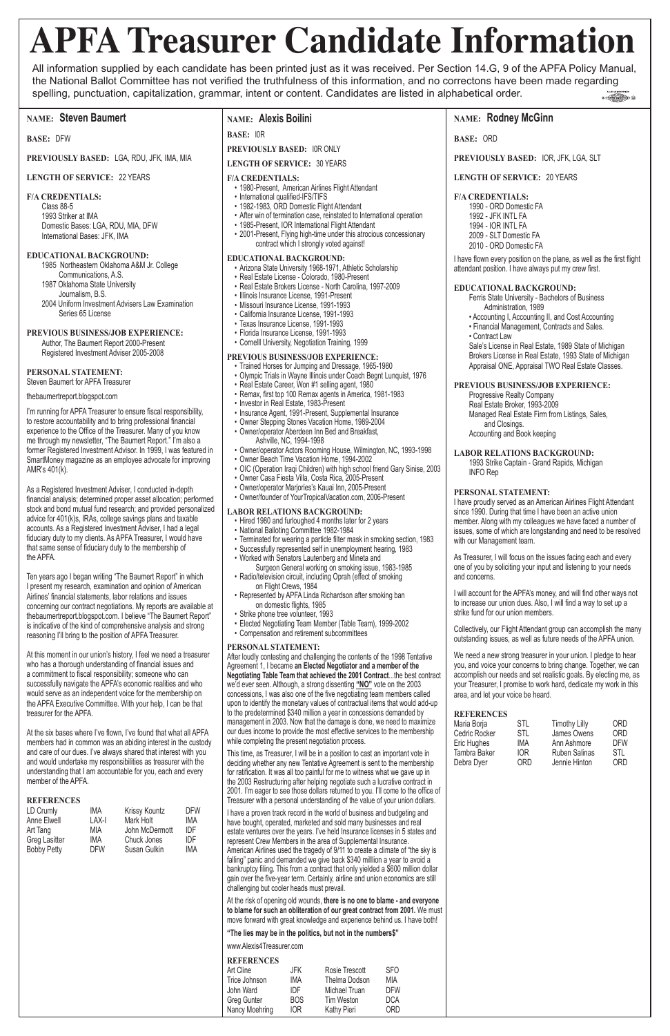# **NAME: Alexis Boilini**

## **BASE:** I0R

**PREVIOUSLY BASED:** I0R ONLY

## **LENGTH OF SERVICE:** 30 YEARS

## **F/A CREDENTIALS:**

- 1980-Present, American Airlines Flight Attendant
- International qualified-IFS/TIFS
- 1982-1983, ORD Domestic Flight Attendant
- After win of termination case, reinstated to International operation
- 1985-Present, IOR International Flight Attendant
- 2001-Present, Flying high-time under this atrocious concessionary contract which I strongly voted against!

## **EDUCATIONAL BACKGROUND:**

- Arizona State University 1968-1971, Athletic Scholarship
- Real Estate License Colorado, 1980-Present
- Real Estate Brokers License North Carolina, 1997-2009
- Illinois Insurance License, 1991-Present
- Missouri Insurance License, 1991-1993
- California Insurance License, 1991-1993
- Texas Insurance License, 1991-1993
- Florida Insurance License, 1991-1993
- Cornelll University, Negotiation Training, 1999

## **PREVIOUS BUSINESS/JOB EXPERIENCE:**

- Trained Horses for Jumping and Dressage, 1965-1980
- Olympic Trials in Wayne Illinois under Coach Begnt Lunquist, 1976
- Real Estate Career, Won #1 selling agent, 1980
- Remax, first top 100 Remax agents in America, 1981-1983
- Investor in Real Estate, 1983-Present
- Insurance Agent, 1991-Present, Supplemental Insurance
- Owner Stepping Stones Vacation Home, 1989-2004
- Owner/operator Aberdeen Inn Bed and Breakfast, Ashville, NC, 1994-1998
- Owner/operator Actors Rooming House, Wilmington, NC, 1993-1998
- Owner Beach Time Vacation Home, 1994-2002
- OIC (Operation Iraqi Children) with high school friend Gary Sinise, 2003
- Owner Casa Fiesta Villa, Costa Rica, 2005-Present
- Owner/operator Marjories's Kauai Inn, 2005-Present
- Owner/founder of YourTropicalVacation.com, 2006-Present

## **LABOR RELATIONS BACKGROUND:**

deciding whether any new Tentative Agreement is sent to the membership for ratification. It was all too painful for me to witness what we gave up in the 2003 Restructuring after helping negotiate such a lucrative contract in 2001. I'm eager to see those dollars returned to you. I'll come to the office of Treasurer with a personal understanding of the value of your union dollars.

- Hired 1980 and furloughed 4 months later for 2 years
- National Balloting Committee 1982-1984
- Terminated for wearing a particle filter mask in smoking section, 1983
- Successfully represented self in unemployment hearing, 1983
- Worked with Senators Lautenberg and Mineta and
- Surgeon General working on smoking issue, 1983-1985 • Radio/television circuit, including Oprah (effect of smoking on Flight Crews, 1984
- Represented by APFA Linda Richardson after smoking ban on domestic flights, 1985
- Strike phone tree volunteer, 1993
- Elected Negotiating Team Member (Table Team), 1999-2002
- Compensation and retirement subcommittees

## **PERSONAL STATEMENT:**

After loudly contesting and challenging the contents of the 1998 Tentative Agreement 1, I became **an Elected Negotiator and a member of the Negotiating Table Team that achieved the 2001 Contract**...the best contract we'd ever seen. Although, a strong dissenting **"NO"** vote on the 2003 concessions, I was also one of the five negotiating team members called upon to identify the monetary values of contractual items that would add-up to the predetermined \$340 million a year in concessions demanded by management in 2003. Now that the damage is done, we need to maximize our dues income to provide the most effective services to the membership while completing the present negotiation process.

This time, as Treasurer, I will be in a position to cast an important vote in

I have a proven track record in the world of business and budgeting and have bought, operated, marketed and sold many businesses and real estate ventures over the years. I've held Insurance licenses in 5 states and represent Crew Members in the area of Supplemental Insurance. American Airlines used the tragedy of 9/11 to create a climate of "the sky is falling" panic and demanded we give back \$340 milllion a year to avoid a bankruptcy filing. This from a contract that only yielded a \$600 million dollar gain over the five-year term. Certainly, airline and union economics are still challenging but cooler heads must prevail.

At the risk of opening old wounds, **there is no one to blame - and everyone to blame for such an obliteration of our great contract from 2001.** We must move forward with great knowledge and experience behind us. I have both!

**"The lies may be in the politics, but not in the numbers\$"**

www.Alexis4Treasurer.com

#### **REFERENCES**

| Art Cline      | JFK        | <b>Rosie Trescott</b> | SFO.       |
|----------------|------------|-----------------------|------------|
| Trice Johnson  | IMA        | Thelma Dodson         | MIA        |
| John Ward      | IDE.       | Michael Truan         | <b>DFW</b> |
| Greg Gunter    | <b>BOS</b> | Tim Weston            | <b>DCA</b> |
| Nancy Moehring | IOR        | Kathy Pieri           | <b>ORD</b> |
|                |            |                       |            |

Debra Dyer

# **NAME: Rodney McGinn**

**BASE:** ORD

**PREVIOUSLY BASED:** IOR, JFK, LGA, SLT

**LENGTH OF SERVICE:** 20 YEARS

## **F/A CREDENTIALS:**

All information supplied by each candidate has been printed just as it was received. Per Section 14.G, 9 of the APFA Policy Manual, the National Ballot Committee has not verified the truthfulness of this information, and no correctons have been made regarding spelling, punctuation, capitalization, grammar, intent or content. Candidates are listed in alphabetical order.. <del>4000</del>0

- 1990 ORD Domestic FA 1992 - JFK INTL FA
- 1994 IOR INTL FA
- 2009 SLT Domestic FA
- 2010 ORD Domestic FA

I have flown every position on the plane, as well as the first flight attendant position. I have always put my crew first.

## **EDUCATIONAL BACKGROUND:**

- Ferris State University Bachelors of Business Administration, 1989
- Accounting I, Accounting II, and Cost Accounting
- Financial Management, Contracts and Sales.
- Contract Law

Sale's License in Real Estate, 1989 State of Michigan Brokers License in Real Estate, 1993 State of Michigan Appraisal ONE, Appraisal TWO Real Estate Classes.

## **PREVIOUS BUSINESS/JOB EXPERIENCE:**

Progressive Realty Company Real Estate Broker, 1993-2009 Managed Real Estate Firm from Listings, Sales, and Closings. Accounting and Book keeping

**LABOR RELATIONS BACKGROUND:**

1993 Strike Captain - Grand Rapids, Michigan INFO Rep

## **PERSONAL STATEMENT:**

I have proudly served as an American Airlines Flight Attendant since 1990. During that time I have been an active union member. Along with my colleagues we have faced a number of issues, some of which are longstanding and need to be resolved with our Management team.

As Treasurer, I will focus on the issues facing each and every one of you by soliciting your input and listening to your needs and concerns.

I will account for the APFA's money, and will find other ways not to increase our union dues. Also, I will find a way to set up a strike fund for our union members.

Collectively, our Flight Attendant group can accomplish the many outstanding issues, as well as future needs of the APFA union.

We need a new strong treasurer in your union. I pledge to hear you, and voice your concerns to bring change. Together, we can accomplish our needs and set realistic goals. By electing me, as your Treasurer, I promise to work hard, dedicate my work in this area, and let your voice be heard.

#### **REFERENCES**

| .             |        |                            |            |
|---------------|--------|----------------------------|------------|
| Maria Borja   | STL    | <b>Timothy Lilly</b>       | ORD.       |
| Cedric Rocker | STL    | James Owens                | ORD.       |
| Eric Hughes   | IMA    | Ann Ashmore                | <b>DFW</b> |
| Tambra Baker  | IOR.   | <b>Ruben Salinas</b>       | STL        |
| n . L n.      | $\cap$ | The complete of the former | $\cap$     |

# **NAME: Steven Baumert**

**BASE:** DFW

**PREVIOUSLY BASED:** LGA, RDU, JFK, IMA, MIA

## **LENGTH OF SERVICE:** 22 YEARS

## **F/A CREDENTIALS:**

Class 88-5 1993 Striker at IMA Domestic Bases: LGA, RDU, MIA, DFW International Bases: JFK, IMA

## **EDUCATIONAL BACKGROUND:**

- 1985 Northeastern Oklahoma A&M Jr. College Communications, A.S.
- 1987 Oklahoma State University
- Journalism, B.S.
- 2004 Uniform Investment Advisers Law Examination Series 65 License

#### **PREVIOUS BUSINESS/JOB EXPERIENCE:** Author, The Baumert Report 2000-Present Registered Investment Adviser 2005-2008

**PERSONAL STATEMENT:**

Steven Baumert for APFA Treasurer

thebaumertreport.blogspot.com

I'm running for APFA Treasurer to ensure fiscal responsibility, to restore accountability and to bring professional financial experience to the Office of the Treasurer. Many of you know me through my newsletter, "The Baumert Report." I'm also a former Registered Investment Advisor. In 1999, I was featured in SmartMoney magazine as an employee advocate for improving AMR's 401(k).

As a Registered Investment Adviser, I conducted in-depth financial analysis; determined proper asset allocation; performed stock and bond mutual fund research; and provided personalized advice for 401(k)s, IRAs, college savings plans and taxable accounts. As a Registered Investment Adviser, I had a legal fiduciary duty to my clients. As APFA Treasurer, I would have that same sense of fiduciary duty to the membership of the APFA.

Ten years ago I began writing "The Baumert Report" in which I present my research, examination and opinion of American Airlines' financial statements, labor relations and issues concerning our contract negotiations. My reports are available at thebaumertreport.blogspot.com. I believe "The Baumert Report" is indicative of the kind of comprehensive analysis and strong reasoning I'll bring to the position of APFA Treasurer.

At this moment in our union's history, I feel we need a treasurer who has a thorough understanding of financial issues and a commitment to fiscal responsibility; someone who can successfully navigate the APFA's economic realities and who would serve as an independent voice for the membership on the APFA Executive Committee. With your help, I can be that treasurer for the APFA.

At the six bases where I've flown, I've found that what all APFA members had in common was an abiding interest in the custody and care of our dues. I've always shared that interest with you

and would undertake my responsibilities as treasurer with the understanding that I am accountable for you, each and every member of the APFA.

## **REFERENCES**

| IMA.       | Krissy Kountz    | <b>DFW</b> |
|------------|------------------|------------|
| LAX-I      | <b>Mark Holt</b> | IMA        |
| MIA        | John McDermott   | IDE        |
| IMA        | Chuck Jones      | IDE        |
| <b>DFW</b> | Susan Gulkin     | IMA        |
|            |                  |            |

# **APFA Treasurer Candidate Information**